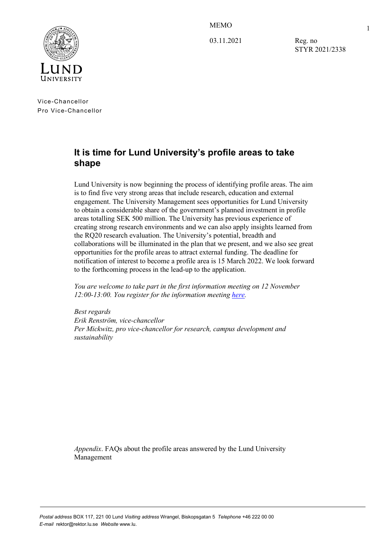MEMO



03.11.2021

Reg. no STYR 2021/2338 1

Vice-Chancellor Pro Vice-Chancellor

# **It is time for Lund University's profile areas to take shape**

Lund University is now beginning the process of identifying profile areas. The aim is to find five very strong areas that include research, education and external engagement. The University Management sees opportunities for Lund University to obtain a considerable share of the government's planned investment in profile areas totalling SEK 500 million. The University has previous experience of creating strong research environments and we can also apply insights learned from the RQ20 research evaluation. The University's potential, breadth and collaborations will be illuminated in the plan that we present, and we also see great opportunities for the profile areas to attract external funding. The deadline for notification of interest to become a profile area is 15 March 2022. We look forward to the forthcoming process in the lead-up to the application.

*You are welcome to take part in the first information meeting on 12 November 12:00-13:00. You register for the information meeting [here.](https://www.staff.lu.se/research-and-education/research-support/research-board)* 

*Best regards Erik Renström, vice-chancellor Per Mickwitz, pro vice-chancellor for research, campus development and sustainability*

*Appendix*. FAQs about the profile areas answered by the Lund University Management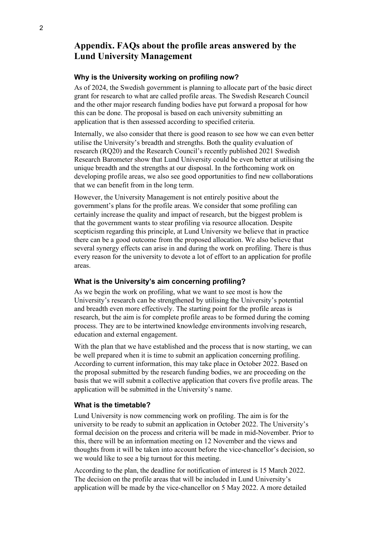# **Appendix. FAQs about the profile areas answered by the Lund University Management**

# **Why is the University working on profiling now?**

As of 2024, the Swedish government is planning to allocate part of the basic direct grant for research to what are called profile areas. The Swedish Research Council and the other major research funding bodies have put forward a proposal for how this can be done. The proposal is based on each university submitting an application that is then assessed according to specified criteria.

Internally, we also consider that there is good reason to see how we can even better utilise the University's breadth and strengths. Both the quality evaluation of research (RQ20) and the Research Council's recently published 2021 Swedish Research Barometer show that Lund University could be even better at utilising the unique breadth and the strengths at our disposal. In the forthcoming work on developing profile areas, we also see good opportunities to find new collaborations that we can benefit from in the long term.

However, the University Management is not entirely positive about the government's plans for the profile areas. We consider that some profiling can certainly increase the quality and impact of research, but the biggest problem is that the government wants to stear profiling via resource allocation. Despite scepticism regarding this principle, at Lund University we believe that in practice there can be a good outcome from the proposed allocation. We also believe that several synergy effects can arise in and during the work on profiling. There is thus every reason for the university to devote a lot of effort to an application for profile areas.

# **What is the University's aim concerning profiling?**

As we begin the work on profiling, what we want to see most is how the University's research can be strengthened by utilising the University's potential and breadth even more effectively. The starting point for the profile areas is research, but the aim is for complete profile areas to be formed during the coming process. They are to be intertwined knowledge environments involving research, education and external engagement.

With the plan that we have established and the process that is now starting, we can be well prepared when it is time to submit an application concerning profiling. According to current information, this may take place in October 2022. Based on the proposal submitted by the research funding bodies, we are proceeding on the basis that we will submit a collective application that covers five profile areas. The application will be submitted in the University's name.

#### **What is the timetable?**

Lund University is now commencing work on profiling. The aim is for the university to be ready to submit an application in October 2022. The University's formal decision on the process and criteria will be made in mid-November. Prior to this, there will be an information meeting on 12 November and the views and thoughts from it will be taken into account before the vice-chancellor's decision, so we would like to see a big turnout for this meeting.

According to the plan, the deadline for notification of interest is 15 March 2022. The decision on the profile areas that will be included in Lund University's application will be made by the vice-chancellor on 5 May 2022. A more detailed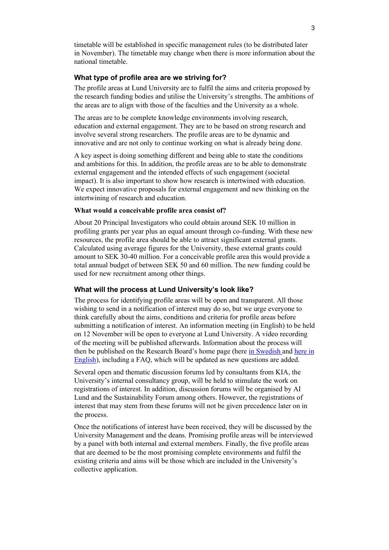timetable will be established in specific management rules (to be distributed later in November). The timetable may change when there is more information about the national timetable.

# **What type of profile area are we striving for?**

The profile areas at Lund University are to fulfil the aims and criteria proposed by the research funding bodies and utilise the University's strengths. The ambitions of the areas are to align with those of the faculties and the University as a whole.

The areas are to be complete knowledge environments involving research, education and external engagement. They are to be based on strong research and involve several strong researchers. The profile areas are to be dynamic and innovative and are not only to continue working on what is already being done.

A key aspect is doing something different and being able to state the conditions and ambitions for this. In addition, the profile areas are to be able to demonstrate external engagement and the intended effects of such engagement (societal impact). It is also important to show how research is intertwined with education. We expect innovative proposals for external engagement and new thinking on the intertwining of research and education.

# **What would a conceivable profile area consist of?**

About 20 Principal Investigators who could obtain around SEK 10 million in profiling grants per year plus an equal amount through co-funding. With these new resources, the profile area should be able to attract significant external grants. Calculated using average figures for the University, these external grants could amount to SEK 30-40 million. For a conceivable profile area this would provide a total annual budget of between SEK 50 and 60 million. The new funding could be used for new recruitment among other things.

# **What will the process at Lund University's look like?**

The process for identifying profile areas will be open and transparent. All those wishing to send in a notification of interest may do so, but we urge everyone to think carefully about the aims, conditions and criteria for profile areas before submitting a notification of interest. An information meeting (in English) to be held on 12 November will be open to everyone at Lund University. A video recording of the meeting will be published afterwards. Information about the process will then be published on the Research Board's home page (here [in Swedish a](https://www.medarbetarwebben.lu.se/forska-och-utbilda/stod-till-forskning/forskningsnamnden)nd here in [English\)](https://www.staff.lu.se/research-and-education/research-support/research-board), including a FAQ, which will be updated as new questions are added.

Several open and thematic discussion forums led by consultants from KIA, the University's internal consultancy group, will be held to stimulate the work on registrations of interest. In addition, discussion forums will be organised by AI Lund and the Sustainability Forum among others. However, the registrations of interest that may stem from these forums will not be given precedence later on in the process.

Once the notifications of interest have been received, they will be discussed by the University Management and the deans. Promising profile areas will be interviewed by a panel with both internal and external members. Finally, the five profile areas that are deemed to be the most promising complete environments and fulfil the existing criteria and aims will be those which are included in the University's collective application.